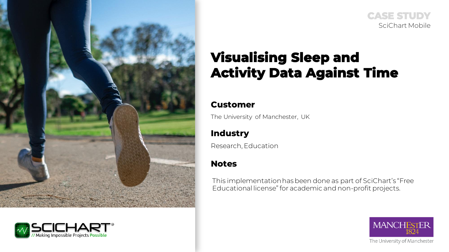



**CASE STUDY** SciChart Mobile

# **Visualising Sleep and Activity Data Against Time**

## **Customer**

The University of Manchester, UK

# **Industry**

Research, Education

# **Notes**

This implementation has been done as part of SciChart's "Free Educational license" for academic and non-profit projects.

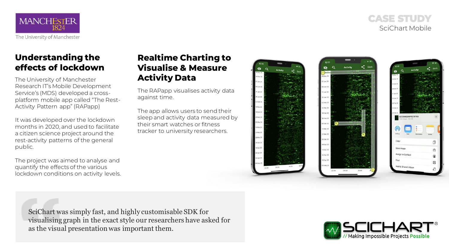**CASE STUDY** SciChart Mobile



# **Understanding the effects of lockdown**

The University of Manchester Research IT's Mobile Development Service's (MDS) developed a crossplatform mobile app called "The Rest-Activity Pattern app" (RAPapp)

It was developed over the lockdown months in 2020, and used to facilitate a citizen science project around the rest-activity patterns of the general public.

The project was aimed to analyse and quantify the effects of the various lockdown conditions on activity levels.

# **Realtime Charting to Visualise & Measure Activity Data**

The RAPapp visualises activity data against time.

The app allows users to send their sleep and activity data measured by their smart watches or fitness tracker to university researchers.



SciChart was simply fast, and highly customisable SDK for visualising graph in the exact style our researchers have asked for as the visual presentation was important them.

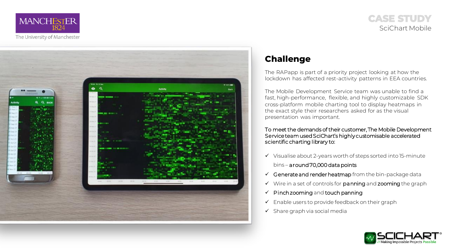

## **CASE STUDY** SciChart Mobile



# **Challenge**

The RAPapp is part of a priority project looking at how the lockdown has affected rest-activity patterns in EEA countries.

The Mobile Development Service team was unable to find a fast, high-performance, flexible, and highly customizable SDK cross-platform mobile charting tool to display heatmaps in the exact style their researchers asked for as the visual presentation was important.

### To meet the demands of their customer, The Mobile Development Service team used SciChart's highly customisable accelerated scientific charting library to:

- ✓ Visualise about 2-years worth of steps sorted into 15-minute bins – around 70,000 data points
- $\checkmark$  Generate and render heatmap from the bin-package data
- ✓ Wire in a set of controls for panning and zooming the graph
- $\checkmark$  Pinch zooming and touch panning
- $\checkmark$  Enable users to provide feedback on their graph
- $\checkmark$  Share graph via social media